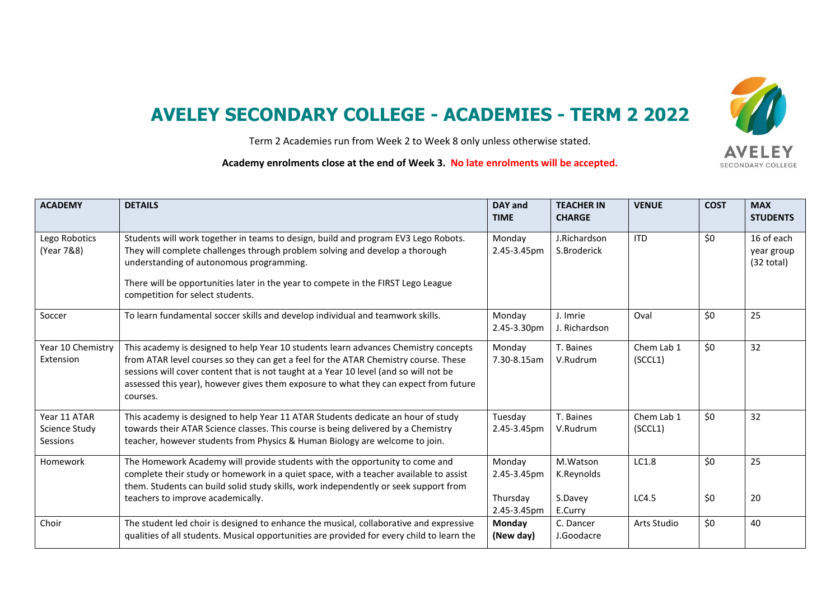

## **AVELEY SECONDARY COLLEGE - ACADEMIES - TERM 2 2022**

Term 2 Academies run from Week 2 to Week 8 only unless otherwise stated.

**Academy enrolments close at the end of Week 3. No late enrolments will be accepted.**

| <b>ACADEMY</b>                            | <b>DETAILS</b>                                                                                                                                                                                                                                                                                                                                                          | DAY and<br><b>TIME</b>            | <b>TEACHER IN</b><br><b>CHARGE</b> | <b>VENUE</b>          | <b>COST</b> | <b>MAX</b><br><b>STUDENTS</b>                    |
|-------------------------------------------|-------------------------------------------------------------------------------------------------------------------------------------------------------------------------------------------------------------------------------------------------------------------------------------------------------------------------------------------------------------------------|-----------------------------------|------------------------------------|-----------------------|-------------|--------------------------------------------------|
| Lego Robotics<br>(Year 7&8)               | Students will work together in teams to design, build and program EV3 Lego Robots.<br>They will complete challenges through problem solving and develop a thorough<br>understanding of autonomous programming.<br>There will be opportunities later in the year to compete in the FIRST Lego League<br>competition for select students.                                 | Monday<br>2.45-3.45pm             | J.Richardson<br>S.Broderick        | <b>ITD</b>            | \$0         | 16 of each<br>year group<br>$(32 \text{ total})$ |
| Soccer                                    | To learn fundamental soccer skills and develop individual and teamwork skills.                                                                                                                                                                                                                                                                                          | Monday<br>2.45-3.30pm             | J. Imrie<br>J. Richardson          | Oval                  | \$0         | 25                                               |
| Year 10 Chemistry<br>Extension            | This academy is designed to help Year 10 students learn advances Chemistry concepts<br>from ATAR level courses so they can get a feel for the ATAR Chemistry course. These<br>sessions will cover content that is not taught at a Year 10 level (and so will not be<br>assessed this year), however gives them exposure to what they can expect from future<br>courses. | Monday<br>7.30-8.15am             | T. Baines<br>V.Rudrum              | Chem Lab 1<br>(SCCL1) | \$0         | 32                                               |
| Year 11 ATAR<br>Science Study<br>Sessions | This academy is designed to help Year 11 ATAR Students dedicate an hour of study<br>towards their ATAR Science classes. This course is being delivered by a Chemistry<br>teacher, however students from Physics & Human Biology are welcome to join.                                                                                                                    | Tuesday<br>2.45-3.45pm            | T. Baines<br>V.Rudrum              | Chem Lab 1<br>(SCCL1) | \$0         | 32                                               |
| Homework                                  | The Homework Academy will provide students with the opportunity to come and<br>complete their study or homework in a quiet space, with a teacher available to assist<br>them. Students can build solid study skills, work independently or seek support from<br>teachers to improve academically.                                                                       | Monday<br>2.45-3.45pm<br>Thursday | M.Watson<br>K.Reynolds<br>S.Davey  | LC1.8<br>LC4.5        | \$0<br>\$0  | 25<br>20                                         |
|                                           |                                                                                                                                                                                                                                                                                                                                                                         | 2.45-3.45pm                       | E.Curry                            |                       |             |                                                  |
| Choir                                     | The student led choir is designed to enhance the musical, collaborative and expressive<br>qualities of all students. Musical opportunities are provided for every child to learn the                                                                                                                                                                                    | Monday<br>(New day)               | C. Dancer<br>J.Goodacre            | Arts Studio           | \$0         | 40                                               |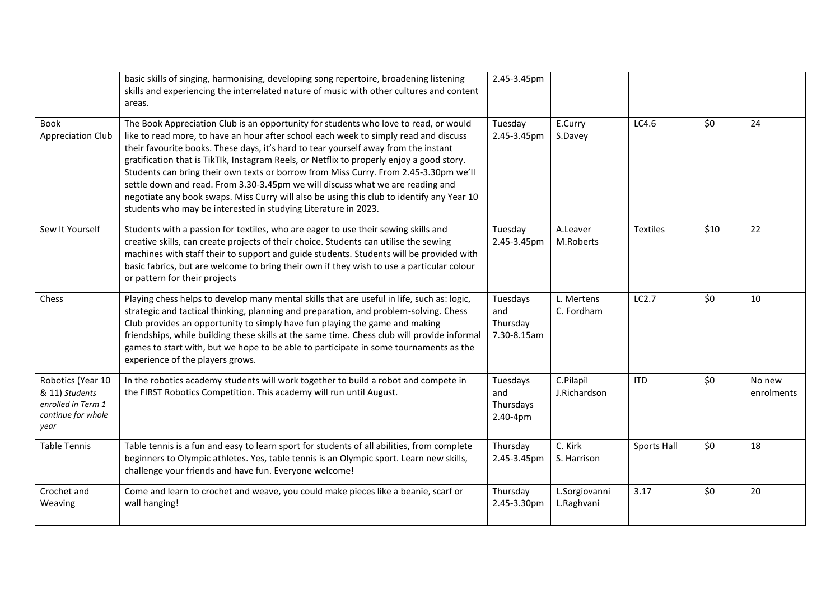|                                                                                         | basic skills of singing, harmonising, developing song repertoire, broadening listening<br>skills and experiencing the interrelated nature of music with other cultures and content<br>areas.                                                                                                                                                                                                                                                                                                                                                                                                                                                                                                              | 2.45-3.45pm                                |                             |                    |      |                      |
|-----------------------------------------------------------------------------------------|-----------------------------------------------------------------------------------------------------------------------------------------------------------------------------------------------------------------------------------------------------------------------------------------------------------------------------------------------------------------------------------------------------------------------------------------------------------------------------------------------------------------------------------------------------------------------------------------------------------------------------------------------------------------------------------------------------------|--------------------------------------------|-----------------------------|--------------------|------|----------------------|
| <b>Book</b><br>Appreciation Club                                                        | The Book Appreciation Club is an opportunity for students who love to read, or would<br>like to read more, to have an hour after school each week to simply read and discuss<br>their favourite books. These days, it's hard to tear yourself away from the instant<br>gratification that is TikTIk, Instagram Reels, or Netflix to properly enjoy a good story.<br>Students can bring their own texts or borrow from Miss Curry. From 2.45-3.30pm we'll<br>settle down and read. From 3.30-3.45pm we will discuss what we are reading and<br>negotiate any book swaps. Miss Curry will also be using this club to identify any Year 10<br>students who may be interested in studying Literature in 2023. | Tuesday<br>2.45-3.45pm                     | E.Curry<br>S.Davey          | LC4.6              | \$0  | 24                   |
| Sew It Yourself                                                                         | Students with a passion for textiles, who are eager to use their sewing skills and<br>creative skills, can create projects of their choice. Students can utilise the sewing<br>machines with staff their to support and guide students. Students will be provided with<br>basic fabrics, but are welcome to bring their own if they wish to use a particular colour<br>or pattern for their projects                                                                                                                                                                                                                                                                                                      | Tuesday<br>2.45-3.45pm                     | A.Leaver<br>M.Roberts       | <b>Textiles</b>    | \$10 | 22                   |
| Chess                                                                                   | Playing chess helps to develop many mental skills that are useful in life, such as: logic,<br>strategic and tactical thinking, planning and preparation, and problem-solving. Chess<br>Club provides an opportunity to simply have fun playing the game and making<br>friendships, while building these skills at the same time. Chess club will provide informal<br>games to start with, but we hope to be able to participate in some tournaments as the<br>experience of the players grows.                                                                                                                                                                                                            | Tuesdays<br>and<br>Thursday<br>7.30-8.15am | L. Mertens<br>C. Fordham    | LC2.7              | \$0  | 10                   |
| Robotics (Year 10<br>& 11) Students<br>enrolled in Term 1<br>continue for whole<br>year | In the robotics academy students will work together to build a robot and compete in<br>the FIRST Robotics Competition. This academy will run until August.                                                                                                                                                                                                                                                                                                                                                                                                                                                                                                                                                | Tuesdays<br>and<br>Thursdays<br>2.40-4pm   | C.Pilapil<br>J.Richardson   | <b>ITD</b>         | \$0  | No new<br>enrolments |
| <b>Table Tennis</b>                                                                     | Table tennis is a fun and easy to learn sport for students of all abilities, from complete<br>beginners to Olympic athletes. Yes, table tennis is an Olympic sport. Learn new skills,<br>challenge your friends and have fun. Everyone welcome!                                                                                                                                                                                                                                                                                                                                                                                                                                                           | Thursday<br>2.45-3.45pm                    | C. Kirk<br>S. Harrison      | <b>Sports Hall</b> | \$0  | 18                   |
| Crochet and<br>Weaving                                                                  | Come and learn to crochet and weave, you could make pieces like a beanie, scarf or<br>wall hanging!                                                                                                                                                                                                                                                                                                                                                                                                                                                                                                                                                                                                       | Thursday<br>2.45-3.30pm                    | L.Sorgiovanni<br>L.Raghvani | 3.17               | \$0  | 20                   |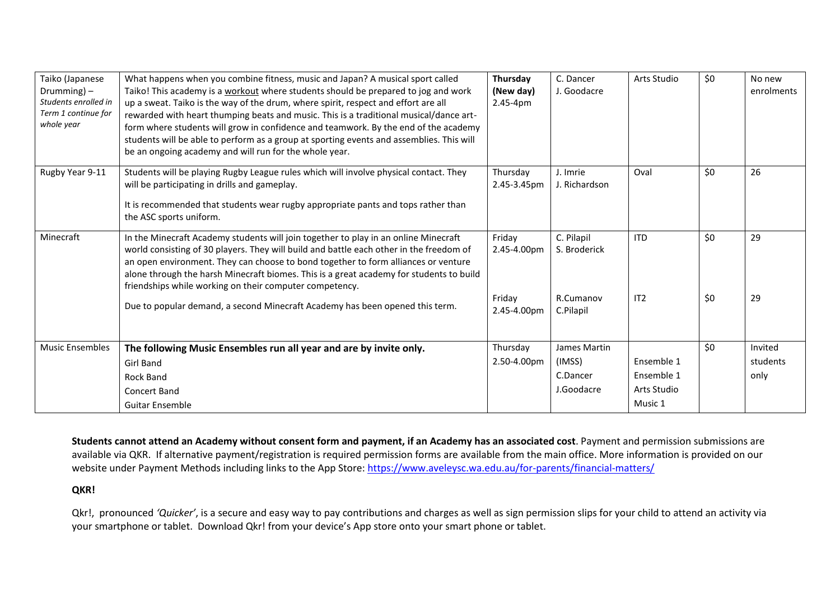| Taiko (Japanese<br>$Drumming$ ) –<br>Students enrolled in<br>Term 1 continue for<br>whole year | What happens when you combine fitness, music and Japan? A musical sport called<br>Taiko! This academy is a workout where students should be prepared to jog and work<br>up a sweat. Taiko is the way of the drum, where spirit, respect and effort are all<br>rewarded with heart thumping beats and music. This is a traditional musical/dance art-<br>form where students will grow in confidence and teamwork. By the end of the academy<br>students will be able to perform as a group at sporting events and assemblies. This will<br>be an ongoing academy and will run for the whole year. | Thursday<br>(New day)<br>2.45-4pm | C. Dancer<br>J. Goodacre   | Arts Studio | \$0 | No new<br>enrolments |
|------------------------------------------------------------------------------------------------|---------------------------------------------------------------------------------------------------------------------------------------------------------------------------------------------------------------------------------------------------------------------------------------------------------------------------------------------------------------------------------------------------------------------------------------------------------------------------------------------------------------------------------------------------------------------------------------------------|-----------------------------------|----------------------------|-------------|-----|----------------------|
| Rugby Year 9-11                                                                                | Students will be playing Rugby League rules which will involve physical contact. They<br>will be participating in drills and gameplay.<br>It is recommended that students wear rugby appropriate pants and tops rather than<br>the ASC sports uniform.                                                                                                                                                                                                                                                                                                                                            | Thursday<br>2.45-3.45pm           | J. Imrie<br>J. Richardson  | Oval        | \$0 | 26                   |
| Minecraft                                                                                      | In the Minecraft Academy students will join together to play in an online Minecraft<br>world consisting of 30 players. They will build and battle each other in the freedom of<br>an open environment. They can choose to bond together to form alliances or venture<br>alone through the harsh Minecraft biomes. This is a great academy for students to build<br>friendships while working on their computer competency.                                                                                                                                                                        | Friday<br>2.45-4.00pm             | C. Pilapil<br>S. Broderick | <b>ITD</b>  | \$0 | 29                   |
|                                                                                                | Due to popular demand, a second Minecraft Academy has been opened this term.                                                                                                                                                                                                                                                                                                                                                                                                                                                                                                                      | Friday<br>2.45-4.00pm             | R.Cumanov<br>C.Pilapil     | IT2         | \$0 | 29                   |
| <b>Music Ensembles</b>                                                                         | The following Music Ensembles run all year and are by invite only.                                                                                                                                                                                                                                                                                                                                                                                                                                                                                                                                | Thursday                          | James Martin               |             | \$0 | Invited              |
|                                                                                                | <b>Girl Band</b>                                                                                                                                                                                                                                                                                                                                                                                                                                                                                                                                                                                  | 2.50-4.00pm                       | (IMSS)                     | Ensemble 1  |     | students             |
|                                                                                                | <b>Rock Band</b>                                                                                                                                                                                                                                                                                                                                                                                                                                                                                                                                                                                  |                                   | C.Dancer                   | Ensemble 1  |     | only                 |
|                                                                                                | <b>Concert Band</b>                                                                                                                                                                                                                                                                                                                                                                                                                                                                                                                                                                               |                                   | J.Goodacre                 | Arts Studio |     |                      |
|                                                                                                | <b>Guitar Ensemble</b>                                                                                                                                                                                                                                                                                                                                                                                                                                                                                                                                                                            |                                   |                            | Music 1     |     |                      |

**Students cannot attend an Academy without consent form and payment, if an Academy has an associated cost**. Payment and permission submissions are available via QKR. If alternative payment/registration is required permission forms are available from the main office. More information is provided on our website under Payment Methods including links to the App Store:<https://www.aveleysc.wa.edu.au/for-parents/financial-matters/>

## **QKR!**

Qkr!, pronounced *'Quicker'*, is a secure and easy way to pay contributions and charges as well as sign permission slips for your child to attend an activity via your smartphone or tablet. Download Qkr! from your device's App store onto your smart phone or tablet.